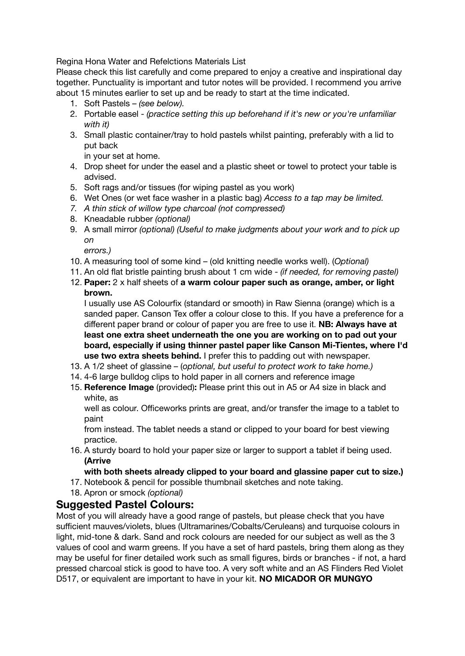Regina Hona Water and Refelctions Materials List

Please check this list carefully and come prepared to enjoy a creative and inspirational day together. Punctuality is important and tutor notes will be provided. I recommend you arrive about 15 minutes earlier to set up and be ready to start at the time indicated.

- 1. Soft Pastels *(see below).*
- 2. Portable easel *(practice setting this up beforehand if it's new or you're unfamiliar with it)*
- 3. Small plastic container/tray to hold pastels whilst painting, preferably with a lid to put back

in your set at home.

- 4. Drop sheet for under the easel and a plastic sheet or towel to protect your table is advised.
- 5. Soft rags and/or tissues (for wiping pastel as you work)
- 6. Wet Ones (or wet face washer in a plastic bag) *Access to a tap may be limited.*
- *7. A thin stick of willow type charcoal (not compressed)*
- 8. Kneadable rubber *(optional)*
- 9. A small mirror *(optional) (Useful to make judgments about your work and to pick up on*

*errors.)*

- 10. A measuring tool of some kind (old knitting needle works well). (*Optional)*
- 11. An old flat bristle painting brush about 1 cm wide *(if needed, for removing pastel)*
- 12. **Paper:** 2 x half sheets of **a warm colour paper such as orange, amber, or light brown.**

I usually use AS Colourfix (standard or smooth) in Raw Sienna (orange) which is a sanded paper. Canson Tex offer a colour close to this. If you have a preference for a different paper brand or colour of paper you are free to use it. **NB: Always have at least one extra sheet underneath the one you are working on to pad out your board, especially if using thinner pastel paper like Canson Mi-Tientes, where I'd use two extra sheets behind.** I prefer this to padding out with newspaper.

- 13. A 1/2 sheet of glassine (*optional, but useful to protect work to take home.)*
- 14. 4-6 large bulldog clips to hold paper in all corners and reference image
- 15. **Reference Image** (provided)**:** Please print this out in A5 or A4 size in black and white, as

well as colour. Officeworks prints are great, and/or transfer the image to a tablet to paint

from instead. The tablet needs a stand or clipped to your board for best viewing practice.

16. A sturdy board to hold your paper size or larger to support a tablet if being used. **(Arrive**

## **with both sheets already clipped to your board and glassine paper cut to size.)**

- 17. Notebook & pencil for possible thumbnail sketches and note taking.
- 18. Apron or smock *(optional)*

## **Suggested Pastel Colours:**

Most of you will already have a good range of pastels, but please check that you have sufficient mauves/violets, blues (Ultramarines/Cobalts/Ceruleans) and turquoise colours in light, mid-tone & dark. Sand and rock colours are needed for our subject as well as the 3 values of cool and warm greens. If you have a set of hard pastels, bring them along as they may be useful for finer detailed work such as small figures, birds or branches - if not, a hard pressed charcoal stick is good to have too. A very soft white and an AS Flinders Red Violet D517, or equivalent are important to have in your kit. **NO MICADOR OR MUNGYO**